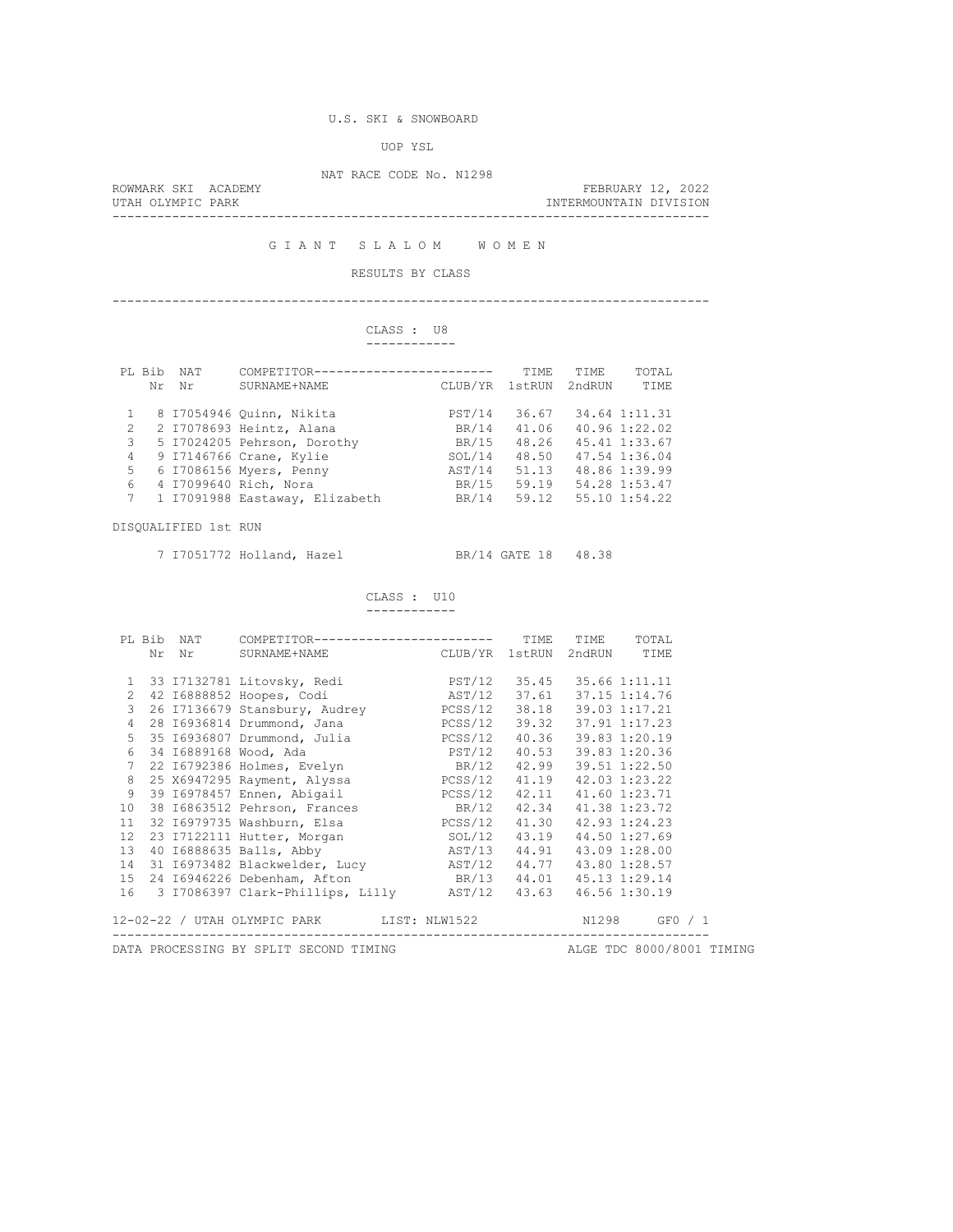## U.S. SKI & SNOWBOARD

UOP YSL

NAT RACE CODE No. N1298

|                   | ROWMARK SKI ACADEMY | FEBRUARY 12, 2022      |  |
|-------------------|---------------------|------------------------|--|
| UTAH OLYMPIC PARK |                     | INTERMOUNTAIN DIVISION |  |
|                   |                     |                        |  |

G I A N T S L A L O M W O M E N

## RESULTS BY CLASS

--------------------------------------------------------------------------------

# CLASS : U8

|  |  | ------------ |
|--|--|--------------|
|  |  |              |

|               | PL Bib | <b>NAT</b> | COMPETITOR----<br>------------------ |         | <b>TTME</b> | TTME.  | TOTAL         |
|---------------|--------|------------|--------------------------------------|---------|-------------|--------|---------------|
|               | Nr     | Nr         | SURNAME+NAME                         | CLUB/YR | 1stRUN      | 2ndRUN | TIME          |
|               |        |            |                                      |         |             |        |               |
|               |        |            | 8 17054946 Ouinn, Nikita             | PST/14  | 36.67       |        | 34.64 1:11.31 |
| $\mathcal{L}$ |        |            | 2 I7078693 Heintz, Alana             | BR/14   | 41.06       |        | 40.96 1:22.02 |
| 3             |        |            | 5 I7024205 Pehrson, Dorothy          | BR/15   | 48.26       |        | 45.41 1:33.67 |
| 4             |        |            | 9 17146766 Crane, Kylie              | SOL/14  | 48.50       |        | 47.54 1:36.04 |
| 5             |        |            | 6 17086156 Myers, Penny              | AST/14  | 51.13       |        | 48.86 1:39.99 |
| 6             |        |            | 4 I7099640 Rich, Nora                | BR/15   | 59.19       |        | 54.28 1:53.47 |
| 7             |        |            | 1 I7091988 Eastaway, Elizabeth       | BR/14   | 59.12       |        | 55.10 1:54.22 |
|               |        |            |                                      |         |             |        |               |

DISQUALIFIED 1st RUN

7 I7051772 Holland, Hazel BR/14 GATE 18 48.38

 CLASS : U10 ------------

|    |  | PL Bib NAT COMPETITOR------------------------ TIME TIME TOTAL                                                            |                              |  |
|----|--|--------------------------------------------------------------------------------------------------------------------------|------------------------------|--|
|    |  | Nr Nr SURNAME+NAME CLUB/YR 1stRUN 2ndRUN TIME                                                                            |                              |  |
|    |  |                                                                                                                          |                              |  |
|    |  | 1 33 17132781 Litovsky, Redi<br>2 42 16888852 Hoopes, Codi<br>2 42 16888852 Hoopes, Codi<br>3 AST/12 37.61 37.15 1:14.76 |                              |  |
|    |  |                                                                                                                          |                              |  |
|    |  | 3  26  17136679  Stansbury, Audrey   PCSS/12  38.18  39.03  1:17.21                                                      |                              |  |
|    |  |                                                                                                                          |                              |  |
|    |  | 5 35 16936807 Drummond, Julia $PCSS/12$ 40.36 39.83 1:20.19                                                              |                              |  |
|    |  |                                                                                                                          |                              |  |
|    |  | 6 34 16889168 Wood, Ada<br>7 22 16792386 Holmes, Evelyn                       BR/12 42.99 39.51 1:22.50                  |                              |  |
|    |  | 8 25 X6947295 Rayment, Alyssa PCSS/12 41.19 42.03 1:23.22                                                                |                              |  |
|    |  | 9 39 16978457 Ennen, Abigail (23.71 2021) PCSS/12 42.11 41.60 1:23.71                                                    |                              |  |
| 10 |  | 38 16863512 Pehrson, Frances BR/12 42.34 41.38 1:23.72                                                                   |                              |  |
| 11 |  | 32 16979735 Washburn, Elsa (2008) PCSS/12 41.30 42.93 1:24.23                                                            |                              |  |
|    |  | 12 23 17122111 Hutter, Morgan SOL/12 43.19 44.50 1:27.69                                                                 |                              |  |
|    |  | 13 40 16888635 Balls, Abby MST/13 44.91 43.09 1:28.00                                                                    |                              |  |
|    |  | 14 31 16973482 Blackwelder, Lucy AST/12 44.77 43.80 1:28.57                                                              |                              |  |
|    |  | 15 24 16946226 Debenham, Afton BR/13 44.01 45.13 1:29.14                                                                 |                              |  |
|    |  | 16 3 17086397 Clark-Phillips, Lilly AST/12 43.63 46.56 1:30.19                                                           |                              |  |
|    |  | 12-02-22 / UTAH OLYMPIC PARK LIST: NLW1522 N1298 GF0 / 1                                                                 |                              |  |
|    |  | DATA PROCESSING BY SPLIT SECOND TIMING ALGE TDC 8000/8001 TIMING                                                         | ---------------------------- |  |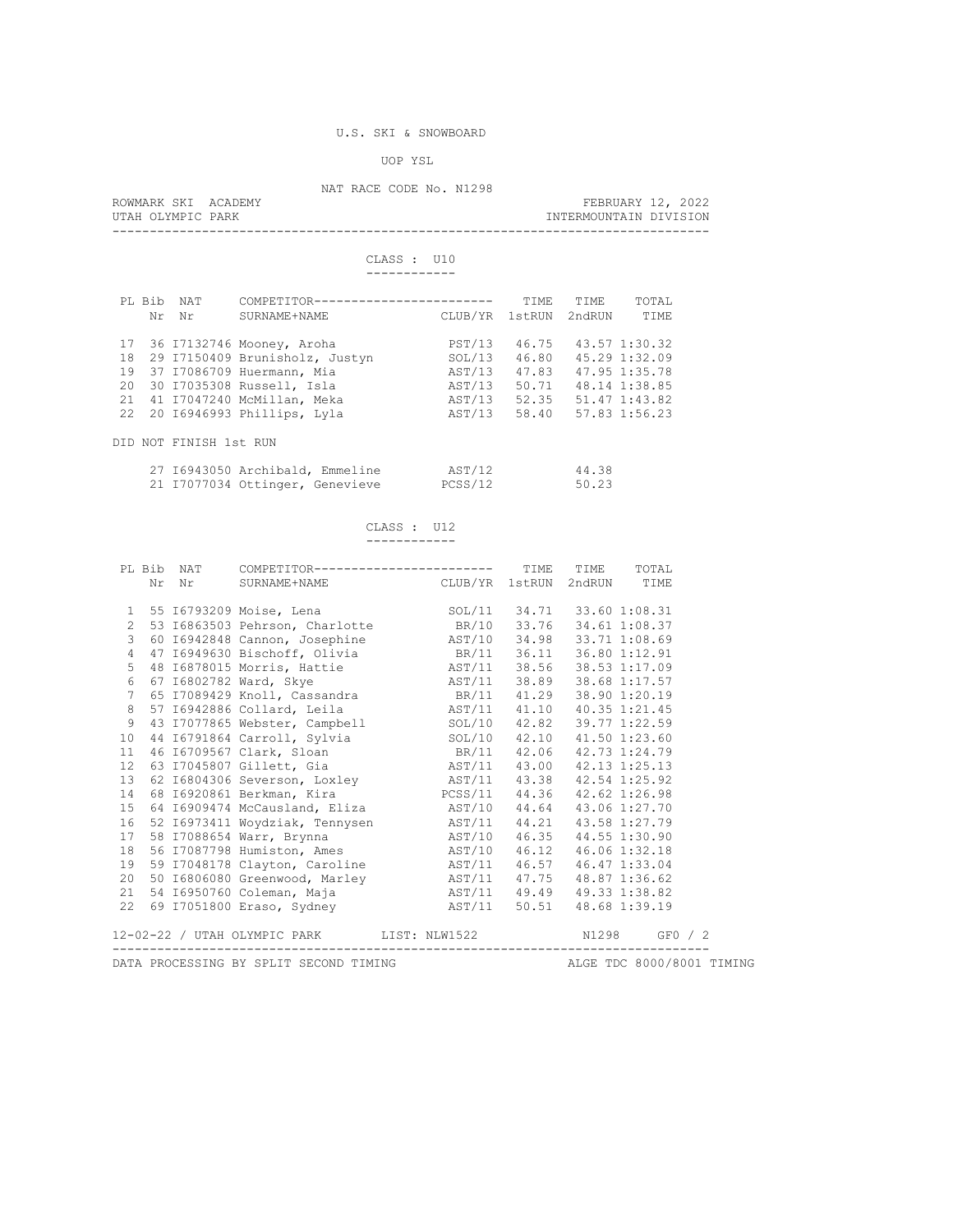#### UOP YSL

### NAT RACE CODE No. N1298

ROWMARK SKI ACADEMY **FEBRUARY 12, 2022**<br>UTAH OLYMPIC PARK **FEBRUARY 12, 2022** INTERMOUNTAIN DIVISION --------------------------------------------------------------------------------

> CLASS : U10 ------------

# PL Bib NAT COMPETITOR------------------------ TIME TIME TOTAL Nr Nr SURNAME+NAME CLUB/YR 1stRUN 2ndRUN TIME 17 36 I7132746 Mooney, Aroha PST/13 46.75 43.57 1:30.32 18 29 I7150409 Brunisholz, Justyn SOL/13 46.80 45.29 1:32.09 19 37 I7086709 Huermann, Mia AST/13 47.83 47.95 1:35.78 20 30 I7035308 Russell, Isla AST/13 50.71 48.14 1:38.85 21 41 I7047240 McMillan, Meka AST/13 52.35 51.47 1:43.82 22 20 I6946993 Phillips, Lyla AST/13 58.40 57.83 1:56.23 DID NOT FINISH 1st RUN 27 I6943050 Archibald, Emmeline AST/12 44.38 21 I7077034 Ottinger, Genevieve PCSS/12 50.23

| . |
|---|
|   |

------------

|  | PL Bib NAT COMPETITOR------------------------ TIME TIME TOTAL                                                                                                                                                                                                                                                                                         |                                   |  |  |
|--|-------------------------------------------------------------------------------------------------------------------------------------------------------------------------------------------------------------------------------------------------------------------------------------------------------------------------------------------------------|-----------------------------------|--|--|
|  | Nr Nr SURNAME+NAME CLUB/YR 1stRUN 2ndRUN TIME                                                                                                                                                                                                                                                                                                         |                                   |  |  |
|  |                                                                                                                                                                                                                                                                                                                                                       |                                   |  |  |
|  |                                                                                                                                                                                                                                                                                                                                                       |                                   |  |  |
|  | 1 55 16793209 Moise, Lena (1981) 80L/11 34.71 33.60 1:08.31<br>2 53 16863503 Pehrson, Charlotte (198.97 BR/10 33.76 34.61 1:08.37                                                                                                                                                                                                                     |                                   |  |  |
|  | 3 60 16942848 Cannon, Josephine MST/10 34.98 33.71 1:08.69                                                                                                                                                                                                                                                                                            |                                   |  |  |
|  | 4 47 16949630 Bischoff, Olivia BR/11 36.11 36.80 1:12.91                                                                                                                                                                                                                                                                                              |                                   |  |  |
|  |                                                                                                                                                                                                                                                                                                                                                       |                                   |  |  |
|  |                                                                                                                                                                                                                                                                                                                                                       |                                   |  |  |
|  |                                                                                                                                                                                                                                                                                                                                                       |                                   |  |  |
|  | 5 48 16878015 Morris, Hattie $\begin{array}{r} 548 \text{ } 16878015 \text{ Morris, Hattie} \\ 667 \text{ } 16802782 \text{ Ward, } \text{Skye} \\ 765 \text{ } 17089429 \text{ Knoll, } \text{Cassandra} \\ 857 \text{ } 16942886 \text{ Collard, Leila} \\ 966 \text{ } 120.19 \text{ RST/11} \\ 11.10 \text{ } 40.35 \text{ } 1:21.45 \end{array}$ |                                   |  |  |
|  | 9 43 I7077865 Webster, Campbell SOL/10 42.82 39.77 1:22.59                                                                                                                                                                                                                                                                                            |                                   |  |  |
|  | 10 44 16791864 Carroll, Sylvia<br>11 46 16709567 Clark, Sloan<br>12 63 17045807 Gillett, Gia<br>13 62 16804306 Severson, Loxley<br>14 68 16920861 Berkman, Kira<br>14 68 16920861 Berkman, Kira<br>14 68 16920861 Berkman, Kira<br>14 68 169                                                                                                          |                                   |  |  |
|  |                                                                                                                                                                                                                                                                                                                                                       |                                   |  |  |
|  |                                                                                                                                                                                                                                                                                                                                                       |                                   |  |  |
|  |                                                                                                                                                                                                                                                                                                                                                       |                                   |  |  |
|  |                                                                                                                                                                                                                                                                                                                                                       |                                   |  |  |
|  | 15 64 16909474 McCausland, Eliza AST/10 44.64 43.06 1:27.70                                                                                                                                                                                                                                                                                           |                                   |  |  |
|  | 16 52 16973411 Woydziak, Tennysen MST/11 44.21 43.58 1:27.79                                                                                                                                                                                                                                                                                          |                                   |  |  |
|  | 17 58 17088654 Warr, Brynna 18 187/10 46.35 44.55 1:30.90<br>18 56 17087798 Humiston, Ames 187/10 46.12 46.06 1:32.18                                                                                                                                                                                                                                 |                                   |  |  |
|  |                                                                                                                                                                                                                                                                                                                                                       |                                   |  |  |
|  | 19 59 17048178 Clayton, Caroline AST/11 46.57 46.47 1:33.04                                                                                                                                                                                                                                                                                           |                                   |  |  |
|  | 20 50 16806080 Greenwood, Marley                AST/11 47.75 48.87 1:36.62<br>21 54 16950760 Coleman, Maja                       AST/11 49.49 49.33 1:38.82                                                                                                                                                                                           |                                   |  |  |
|  |                                                                                                                                                                                                                                                                                                                                                       |                                   |  |  |
|  |                                                                                                                                                                                                                                                                                                                                                       |                                   |  |  |
|  | 12-02-22 / UTAH OLYMPIC PARK LIST: NLW1522 N1298 GF0 / 2                                                                                                                                                                                                                                                                                              |                                   |  |  |
|  |                                                                                                                                                                                                                                                                                                                                                       | _________________________________ |  |  |
|  | DATA PROCESSING BY SPLIT SECOND TIMING ALGE TDC 8000/8001 TIMING                                                                                                                                                                                                                                                                                      |                                   |  |  |